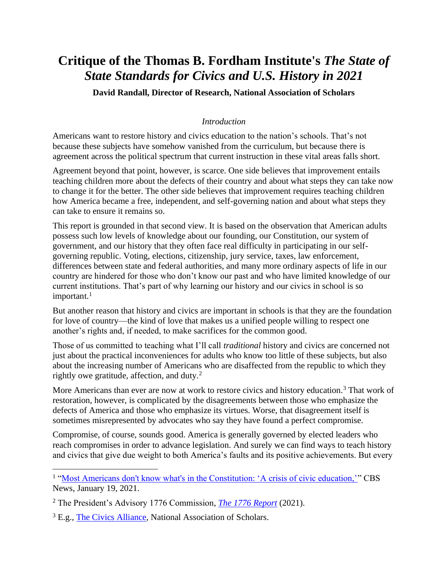# **Critique of the Thomas B. Fordham Institute's** *The State of State Standards for Civics and U.S. History in 2021*

**David Randall, Director of Research, National Association of Scholars**

# *Introduction*

Americans want to restore history and civics education to the nation's schools. That's not because these subjects have somehow vanished from the curriculum, but because there is agreement across the political spectrum that current instruction in these vital areas falls short.

Agreement beyond that point, however, is scarce. One side believes that improvement entails teaching children more about the defects of their country and about what steps they can take now to change it for the better. The other side believes that improvement requires teaching children how America became a free, independent, and self-governing nation and about what steps they can take to ensure it remains so.

This report is grounded in that second view. It is based on the observation that American adults possess such low levels of knowledge about our founding, our Constitution, our system of government, and our history that they often face real difficulty in participating in our selfgoverning republic. Voting, elections, citizenship, jury service, taxes, law enforcement, differences between state and federal authorities, and many more ordinary aspects of life in our country are hindered for those who don't know our past and who have limited knowledge of our current institutions. That's part of why learning our history and our civics in school is so important. $1$ 

But another reason that history and civics are important in schools is that they are the foundation for love of country—the kind of love that makes us a unified people willing to respect one another's rights and, if needed, to make sacrifices for the common good.

Those of us committed to teaching what I'll call *traditional* history and civics are concerned not just about the practical inconveniences for adults who know too little of these subjects, but also about the increasing number of Americans who are disaffected from the republic to which they rightly owe gratitude, affection, and duty.<sup>2</sup>

More Americans than ever are now at work to restore civics and history education.<sup>3</sup> That work of restoration, however, is complicated by the disagreements between those who emphasize the defects of America and those who emphasize its virtues. Worse, that disagreement itself is sometimes misrepresented by advocates who say they have found a perfect compromise.

Compromise, of course, sounds good. America is generally governed by elected leaders who reach compromises in order to advance legislation. And surely we can find ways to teach history and civics that give due weight to both America's faults and its positive achievements. But every

<sup>&</sup>lt;sup>1</sup> ["Most Americans don't know what's in the Constitution: 'A crisis of civic education,'"](https://www.cbsnews.com/news/constitution-americans-civics-test/) CBS News, January 19, 2021.

<sup>2</sup> The President's Advisory 1776 Commission, *[The 1776 Report](https://trumpwhitehouse.archives.gov/wp-content/uploads/2021/01/The-Presidents-Advisory-1776-Commission-Final-Report.pdf)* (2021).

<sup>&</sup>lt;sup>3</sup> E.g., [The Civics Alliance,](https://www.nas.org/civics-alliance) National Association of Scholars.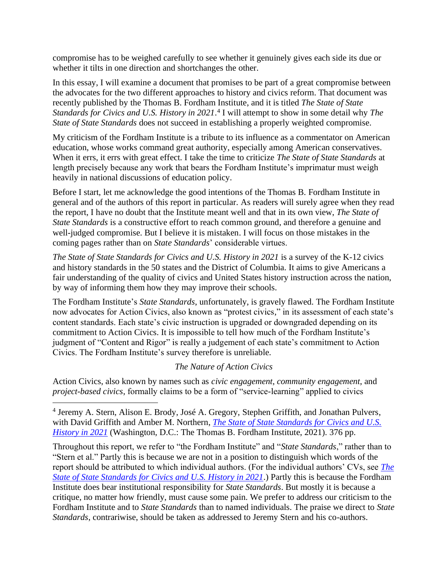compromise has to be weighed carefully to see whether it genuinely gives each side its due or whether it tilts in one direction and shortchanges the other.

In this essay, I will examine a document that promises to be part of a great compromise between the advocates for the two different approaches to history and civics reform. That document was recently published by the Thomas B. Fordham Institute, and it is titled *The State of State Standards for Civics and U.S. History in 2021*. 4 I will attempt to show in some detail why *The State of State Standards* does not succeed in establishing a properly weighted compromise.

My criticism of the Fordham Institute is a tribute to its influence as a commentator on American education, whose works command great authority, especially among American conservatives. When it errs, it errs with great effect. I take the time to criticize *The State of State Standards* at length precisely because any work that bears the Fordham Institute's imprimatur must weigh heavily in national discussions of education policy.

Before I start, let me acknowledge the good intentions of the Thomas B. Fordham Institute in general and of the authors of this report in particular. As readers will surely agree when they read the report, I have no doubt that the Institute meant well and that in its own view, *The State of State Standards* is a constructive effort to reach common ground, and therefore a genuine and well-judged compromise. But I believe it is mistaken. I will focus on those mistakes in the coming pages rather than on *State Standards*' considerable virtues.

*The State of State Standards for Civics and U.S. History in 2021* is a survey of the K-12 civics and history standards in the 50 states and the District of Columbia. It aims to give Americans a fair understanding of the quality of civics and United States history instruction across the nation, by way of informing them how they may improve their schools.

The Fordham Institute's *State Standards*, unfortunately, is gravely flawed. The Fordham Institute now advocates for Action Civics, also known as "protest civics," in its assessment of each state's content standards. Each state's civic instruction is upgraded or downgraded depending on its commitment to Action Civics. It is impossible to tell how much of the Fordham Institute's judgment of "Content and Rigor" is really a judgement of each state's commitment to Action Civics. The Fordham Institute's survey therefore is unreliable.

# *The Nature of Action Civics*

Action Civics, also known by names such as *civic engagement*, *community engagement*, and *project-based civics*, formally claims to be a form of "service-learning" applied to civics

Throughout this report, we refer to "the Fordham Institute" and "*State Standards*," rather than to "Stern et al." Partly this is because we are not in a position to distinguish which words of the report should be attributed to which individual authors. (For the individual authors' CVs, see *[The](https://fordhaminstitute.org/national/research/state-state-standards-civics-and-us-history-2021)  [State of State Standards for Civics and U.S. History in 2021](https://fordhaminstitute.org/national/research/state-state-standards-civics-and-us-history-2021)*.) Partly this is because the Fordham Institute does bear institutional responsibility for *State Standards*. But mostly it is because a critique, no matter how friendly, must cause some pain. We prefer to address our criticism to the Fordham Institute and to *State Standards* than to named individuals. The praise we direct to *State Standards*, contrariwise, should be taken as addressed to Jeremy Stern and his co-authors.

<sup>&</sup>lt;sup>4</sup> Jeremy A. Stern, Alison E. Brody, José A. Gregory, Stephen Griffith, and Jonathan Pulvers, with David Griffith and Amber M. Northern, *[The State of State Standards for Civics and U.S.](https://fordhaminstitute.org/national/research/state-state-standards-civics-and-us-history-2021)  [History in 2021](https://fordhaminstitute.org/national/research/state-state-standards-civics-and-us-history-2021)* (Washington, D.C.: The Thomas B. Fordham Institute, 2021). 376 pp.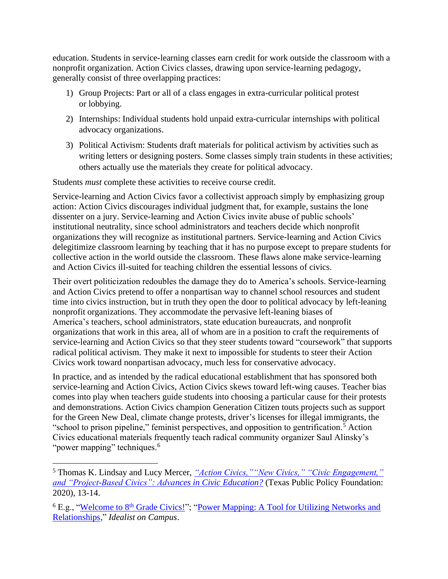education. Students in service-learning classes earn credit for work outside the classroom with a nonprofit organization. Action Civics classes, drawing upon service-learning pedagogy, generally consist of three overlapping practices:

- 1) Group Projects: Part or all of a class engages in extra-curricular political protest or lobbying.
- 2) Internships: Individual students hold unpaid extra-curricular internships with political advocacy organizations.
- 3) Political Activism: Students draft materials for political activism by activities such as writing letters or designing posters. Some classes simply train students in these activities; others actually use the materials they create for political advocacy.

Students *must* complete these activities to receive course credit.

Service-learning and Action Civics favor a collectivist approach simply by emphasizing group action: Action Civics discourages individual judgment that, for example, sustains the lone dissenter on a jury. Service-learning and Action Civics invite abuse of public schools' institutional neutrality, since school administrators and teachers decide which nonprofit organizations they will recognize as institutional partners. Service-learning and Action Civics delegitimize classroom learning by teaching that it has no purpose except to prepare students for collective action in the world outside the classroom. These flaws alone make service-learning and Action Civics ill-suited for teaching children the essential lessons of civics.

Their overt politicization redoubles the damage they do to America's schools. Service-learning and Action Civics pretend to offer a nonpartisan way to channel school resources and student time into civics instruction, but in truth they open the door to political advocacy by left-leaning nonprofit organizations. They accommodate the pervasive left-leaning biases of America's teachers, school administrators, state education bureaucrats, and nonprofit organizations that work in this area, all of whom are in a position to craft the requirements of service-learning and Action Civics so that they steer students toward "coursework" that supports radical political activism. They make it next to impossible for students to steer their Action Civics work toward nonpartisan advocacy, much less for conservative advocacy.

In practice, and as intended by the radical educational establishment that has sponsored both service-learning and Action Civics, Action Civics skews toward left-wing causes. Teacher bias comes into play when teachers guide students into choosing a particular cause for their protests and demonstrations. Action Civics champion Generation Citizen touts projects such as support for the Green New Deal, climate change protests, driver's licenses for illegal immigrants, the "school to prison pipeline," feminist perspectives, and opposition to gentrification.<sup>5</sup> Action Civics educational materials frequently teach radical community organizer Saul Alinsky's "power mapping" techniques.<sup>6</sup>

<sup>5</sup> Thomas K. Lindsay and Lucy Mercer, *["Action Civics,""New Civics," "Civic Engagement,"](https://www.texaspolicy.com/action-civicsnew-civics-civic-engagement-and-project-based-civics-advances-in-civic-education/)  [and "Project-Based Civics": Advances in Civic Education?](https://www.texaspolicy.com/action-civicsnew-civics-civic-engagement-and-project-based-civics-advances-in-civic-education/)* (Texas Public Policy Foundation: 2020), 13-14.

<sup>&</sup>lt;sup>6</sup> E.g., ["Welcome to 8](https://www.mersd.org/cms/lib/MA01807435/Centricity/Domain/184/Welcome%20to%208th%20Grade%20Civics%20Informational%20Letter%20and%20syllabus.pdf)<sup>th</sup> Grade Civics!"; "Power Mapping: A Tool for Utilizing Networks and [Relationships,](https://www.bhopal.net/wp-content/uploads/Resources_Toolbox/Toolbox/Power-Mapping.pdf)" *Idealist on Campus*.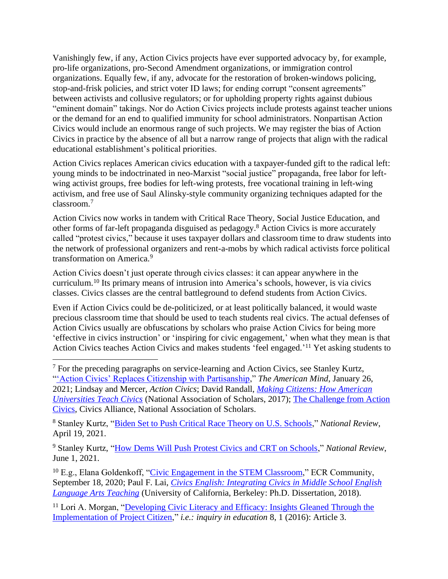Vanishingly few, if any, Action Civics projects have ever supported advocacy by, for example, pro-life organizations, pro-Second Amendment organizations, or immigration control organizations. Equally few, if any, advocate for the restoration of broken-windows policing, stop-and-frisk policies, and strict voter ID laws; for ending corrupt "consent agreements" between activists and collusive regulators; or for upholding property rights against dubious "eminent domain" takings. Nor do Action Civics projects include protests against teacher unions or the demand for an end to qualified immunity for school administrators. Nonpartisan Action Civics would include an enormous range of such projects. We may register the bias of Action Civics in practice by the absence of all but a narrow range of projects that align with the radical educational establishment's political priorities.

Action Civics replaces American civics education with a taxpayer-funded gift to the radical left: young minds to be indoctrinated in neo-Marxist "social justice" propaganda, free labor for leftwing activist groups, free bodies for left-wing protests, free vocational training in left-wing activism, and free use of Saul Alinsky-style community organizing techniques adapted for the classroom.<sup>7</sup>

Action Civics now works in tandem with Critical Race Theory, Social Justice Education, and other forms of far-left propaganda disguised as pedagogy.<sup>8</sup> Action Civics is more accurately called "protest civics," because it uses taxpayer dollars and classroom time to draw students into the network of professional organizers and rent-a-mobs by which radical activists force political transformation on America.<sup>9</sup>

Action Civics doesn't just operate through civics classes: it can appear anywhere in the curriculum.<sup>10</sup> Its primary means of intrusion into America's schools, however, is via civics classes. Civics classes are the central battleground to defend students from Action Civics.

Even if Action Civics could be de-politicized, or at least politically balanced, it would waste precious classroom time that should be used to teach students real civics. The actual defenses of Action Civics usually are obfuscations by scholars who praise Action Civics for being more 'effective in civics instruction' or 'inspiring for civic engagement,' when what they mean is that Action Civics teaches Action Civics and makes students 'feel engaged.'<sup>11</sup> Yet asking students to

<sup>7</sup> For the preceding paragraphs on service-learning and Action Civics, see Stanley Kurtz, "Action Civics' Replaces Citizenship with Partisanship," *The American Mind*, January 26, 2021; Lindsay and Mercer, *Action Civics*; David Randall, *[Making Citizens: How American](https://www.nas.org/reports/making-citizens-how-american-universities-teach-civics)  [Universities Teach Civics](https://www.nas.org/reports/making-citizens-how-american-universities-teach-civics)* (National Association of Scholars, 2017); [The Challenge from Action](https://www.nas.org/civics-alliance/our-mission-and-vision/challenge-action-civics)  [Civics,](https://www.nas.org/civics-alliance/our-mission-and-vision/challenge-action-civics) Civics Alliance, National Association of Scholars.

<sup>8</sup> Stanley Kurtz, ["Biden Set to Push Critical Race Theory on U.S. Schools,](https://www.nationalreview.com/corner/biden-set-to-push-critical-race-theory-on-u-s-schools/)" *National Review*, April 19, 2021.

<sup>9</sup> Stanley Kurtz, ["How Dems Will Push Protest Civics and CRT on Schools,](https://www.nationalreview.com/corner/how-dems-will-push-protest-civics-and-crt-on-schools/)" *National Review*, June 1, 2021.

 $10$  E.g., Elana Goldenkoff, ["Civic Engagement in the STEM Classroom,](https://ecrcommunity.plos.org/2020/09/18/civic-engagement-in-the-stem-classroom/)" ECR Community, September 18, 2020; Paul F. Lai, *[Civics English: Integrating Civics in Middle School English](https://escholarship.org/uc/item/50192908)  [Language Arts Teaching](https://escholarship.org/uc/item/50192908)* (University of California, Berkeley: Ph.D. Dissertation, 2018).

<sup>11</sup> Lori A. Morgan, "Developing Civic Literacy and Efficacy: Insights Gleaned Through the [Implementation of Project Citizen,](https://files.eric.ed.gov/fulltext/EJ1171672.pdf)" *i.e.: inquiry in education* 8, 1 (2016): Article 3.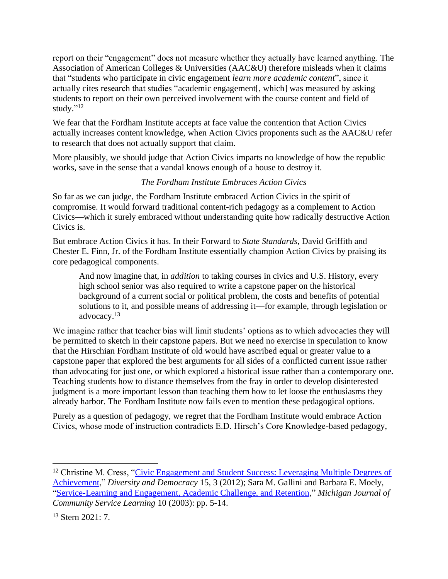report on their "engagement" does not measure whether they actually have learned anything. The Association of American Colleges & Universities (AAC&U) therefore misleads when it claims that "students who participate in civic engagement *learn more academic content*", since it actually cites research that studies "academic engagement[, which] was measured by asking students to report on their own perceived involvement with the course content and field of study." 12

We fear that the Fordham Institute accepts at face value the contention that Action Civics actually increases content knowledge, when Action Civics proponents such as the AAC&U refer to research that does not actually support that claim.

More plausibly, we should judge that Action Civics imparts no knowledge of how the republic works, save in the sense that a vandal knows enough of a house to destroy it.

# *The Fordham Institute Embraces Action Civics*

So far as we can judge, the Fordham Institute embraced Action Civics in the spirit of compromise. It would forward traditional content-rich pedagogy as a complement to Action Civics—which it surely embraced without understanding quite how radically destructive Action Civics is.

But embrace Action Civics it has. In their Forward to *State Standards*, David Griffith and Chester E. Finn, Jr. of the Fordham Institute essentially champion Action Civics by praising its core pedagogical components.

And now imagine that, in *addition* to taking courses in civics and U.S. History, every high school senior was also required to write a capstone paper on the historical background of a current social or political problem, the costs and benefits of potential solutions to it, and possible means of addressing it—for example, through legislation or advocacy.<sup>13</sup>

We imagine rather that teacher bias will limit students' options as to which advocacies they will be permitted to sketch in their capstone papers. But we need no exercise in speculation to know that the Hirschian Fordham Institute of old would have ascribed equal or greater value to a capstone paper that explored the best arguments for all sides of a conflicted current issue rather than advocating for just one, or which explored a historical issue rather than a contemporary one. Teaching students how to distance themselves from the fray in order to develop disinterested judgment is a more important lesson than teaching them how to let loose the enthusiasms they already harbor. The Fordham Institute now fails even to mention these pedagogical options.

Purely as a question of pedagogy, we regret that the Fordham Institute would embrace Action Civics, whose mode of instruction contradicts E.D. Hirsch's Core Knowledge-based pedagogy,

<sup>&</sup>lt;sup>12</sup> Christine M. Cress, "Civic Engagement and Student Success: Leveraging Multiple Degrees of [Achievement,](https://www.aacu.org/publications-research/periodicals/civic-engagement-and-student-success-leveraging-multiple-degrees)" *Diversity and Democracy* 15, 3 (2012); Sara M. Gallini and Barbara E. Moely, ["Service-Learning and Engagement, Academic Challenge, and Retention,](https://quod.lib.umich.edu/cgi/p/pod/dod-idx/service-learning-and-engagement-academic-challenge.pdf?c=mjcsl;idno=3239521.0010.101;format=pdf)" *Michigan Journal of Community Service Learning* 10 (2003): pp. 5-14.

<sup>13</sup> Stern 2021: 7.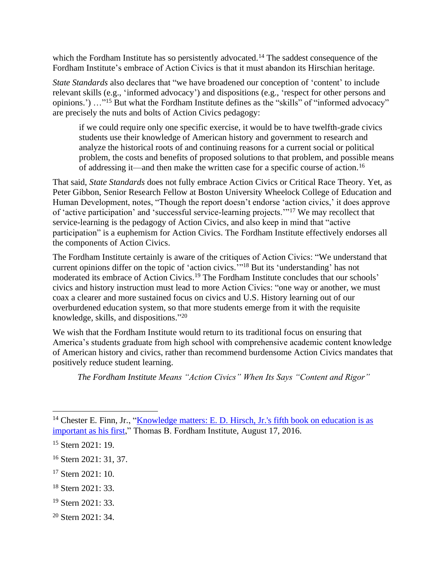which the Fordham Institute has so persistently advocated.<sup>14</sup> The saddest consequence of the Fordham Institute's embrace of Action Civics is that it must abandon its Hirschian heritage.

*State Standards* also declares that "we have broadened our conception of 'content' to include relevant skills (e.g., 'informed advocacy') and dispositions (e.g., 'respect for other persons and opinions.') ..."<sup>15</sup> But what the Fordham Institute defines as the "skills" of "informed advocacy" are precisely the nuts and bolts of Action Civics pedagogy:

if we could require only one specific exercise, it would be to have twelfth-grade civics students use their knowledge of American history and government to research and analyze the historical roots of and continuing reasons for a current social or political problem, the costs and benefits of proposed solutions to that problem, and possible means of addressing it—and then make the written case for a specific course of action.<sup>16</sup>

That said, *State Standards* does not fully embrace Action Civics or Critical Race Theory. Yet, as Peter Gibbon, Senior Research Fellow at Boston University Wheelock College of Education and Human Development, notes, "Though the report doesn't endorse 'action civics,' it does approve of 'active participation' and 'successful service-learning projects.'"<sup>17</sup> We may recollect that service-learning is the pedagogy of Action Civics, and also keep in mind that "active participation" is a euphemism for Action Civics. The Fordham Institute effectively endorses all the components of Action Civics.

The Fordham Institute certainly is aware of the critiques of Action Civics: "We understand that current opinions differ on the topic of 'action civics.'" <sup>18</sup> But its 'understanding' has not moderated its embrace of Action Civics. <sup>19</sup> The Fordham Institute concludes that our schools' civics and history instruction must lead to more Action Civics: "one way or another, we must coax a clearer and more sustained focus on civics and U.S. History learning out of our overburdened education system, so that more students emerge from it with the requisite knowledge, skills, and dispositions." 20

We wish that the Fordham Institute would return to its traditional focus on ensuring that America's students graduate from high school with comprehensive academic content knowledge of American history and civics, rather than recommend burdensome Action Civics mandates that positively reduce student learning.

*The Fordham Institute Means "Action Civics" When Its Says "Content and Rigor"*

- <sup>18</sup> Stern 2021: 33.
- <sup>19</sup> Stern 2021: 33.
- <sup>20</sup> Stern 2021: 34.

<sup>&</sup>lt;sup>14</sup> Chester E. Finn, Jr., "Knowledge matters: E. D. Hirsch, Jr.'s fifth book on education is as [important as his first,](https://fordhaminstitute.org/national/commentary/knowledge-matters-e-d-hirsch-jrs-fifth-book-education-important-his-first)" Thomas B. Fordham Institute, August 17, 2016.

<sup>&</sup>lt;sup>15</sup> Stern 2021: 19.

<sup>16</sup> Stern 2021: 31, 37.

<sup>17</sup> Stern 2021: 10.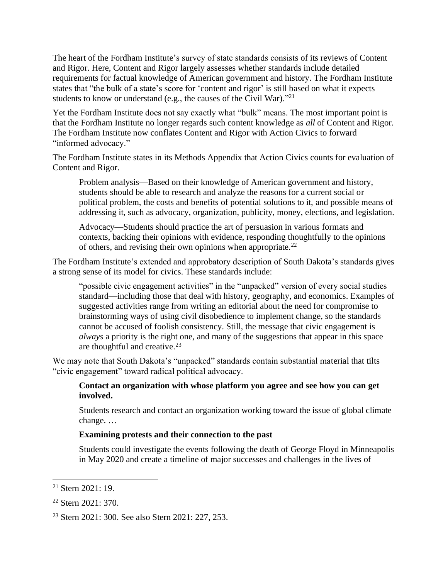The heart of the Fordham Institute's survey of state standards consists of its reviews of Content and Rigor. Here, Content and Rigor largely assesses whether standards include detailed requirements for factual knowledge of American government and history. The Fordham Institute states that "the bulk of a state's score for 'content and rigor' is still based on what it expects students to know or understand (e.g., the causes of the Civil War)."<sup>21</sup>

Yet the Fordham Institute does not say exactly what "bulk" means. The most important point is that the Fordham Institute no longer regards such content knowledge as *all* of Content and Rigor. The Fordham Institute now conflates Content and Rigor with Action Civics to forward "informed advocacy."

The Fordham Institute states in its Methods Appendix that Action Civics counts for evaluation of Content and Rigor.

Problem analysis—Based on their knowledge of American government and history, students should be able to research and analyze the reasons for a current social or political problem, the costs and benefits of potential solutions to it, and possible means of addressing it, such as advocacy, organization, publicity, money, elections, and legislation.

Advocacy—Students should practice the art of persuasion in various formats and contexts, backing their opinions with evidence, responding thoughtfully to the opinions of others, and revising their own opinions when appropriate.<sup>22</sup>

The Fordham Institute's extended and approbatory description of South Dakota's standards gives a strong sense of its model for civics. These standards include:

"possible civic engagement activities" in the "unpacked" version of every social studies standard—including those that deal with history, geography, and economics. Examples of suggested activities range from writing an editorial about the need for compromise to brainstorming ways of using civil disobedience to implement change, so the standards cannot be accused of foolish consistency. Still, the message that civic engagement is *always* a priority is the right one, and many of the suggestions that appear in this space are thoughtful and creative.<sup>23</sup>

We may note that South Dakota's "unpacked" standards contain substantial material that tilts "civic engagement" toward radical political advocacy.

#### **Contact an organization with whose platform you agree and see how you can get involved.**

Students research and contact an organization working toward the issue of global climate change. …

# **Examining protests and their connection to the past**

Students could investigate the events following the death of George Floyd in Minneapolis in May 2020 and create a timeline of major successes and challenges in the lives of

 $21$  Stern 2021: 19.

<sup>22</sup> Stern 2021: 370.

<sup>23</sup> Stern 2021: 300. See also Stern 2021: 227, 253.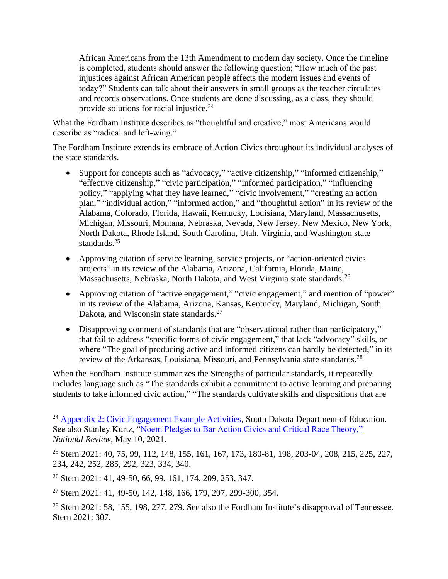African Americans from the 13th Amendment to modern day society. Once the timeline is completed, students should answer the following question; "How much of the past injustices against African American people affects the modern issues and events of today?" Students can talk about their answers in small groups as the teacher circulates and records observations. Once students are done discussing, as a class, they should provide solutions for racial injustice. $24$ 

What the Fordham Institute describes as "thoughtful and creative," most Americans would describe as "radical and left-wing."

The Fordham Institute extends its embrace of Action Civics throughout its individual analyses of the state standards.

- Support for concepts such as "advocacy," "active citizenship," "informed citizenship," "effective citizenship," "civic participation," "informed participation," "influencing policy," "applying what they have learned," "civic involvement," "creating an action plan," "individual action," "informed action," and "thoughtful action" in its review of the Alabama, Colorado, Florida, Hawaii, Kentucky, Louisiana, Maryland, Massachusetts, Michigan, Missouri, Montana, Nebraska, Nevada, New Jersey, New Mexico, New York, North Dakota, Rhode Island, South Carolina, Utah, Virginia, and Washington state standards.<sup>25</sup>
- Approving citation of service learning, service projects, or "action-oriented civics" projects" in its review of the Alabama, Arizona, California, Florida, Maine, Massachusetts, Nebraska, North Dakota, and West Virginia state standards.<sup>26</sup>
- Approving citation of "active engagement," "civic engagement," and mention of "power" in its review of the Alabama, Arizona, Kansas, Kentucky, Maryland, Michigan, South Dakota, and Wisconsin state standards.<sup>27</sup>
- Disapproving comment of standards that are "observational rather than participatory," that fail to address "specific forms of civic engagement," that lack "advocacy" skills, or where "The goal of producing active and informed citizens can hardly be detected," in its review of the Arkansas, Louisiana, Missouri, and Pennsylvania state standards.<sup>28</sup>

When the Fordham Institute summarizes the Strengths of particular standards, it repeatedly includes language such as "The standards exhibit a commitment to active learning and preparing students to take informed civic action," "The standards cultivate skills and dispositions that are

<sup>&</sup>lt;sup>24</sup> [Appendix 2: Civic Engagement Example Activities,](https://doe.sd.gov/ContentStandards/documents/SS-Appendix2.pdf) South Dakota Department of Education. See also Stanley Kurtz, ["Noem Pledges to Bar Action Civics and Critical Race Theory,"](https://www.nationalreview.com/corner/noem-pledges-to-bar-action-civics-and-critical-race-theory/) *National Review*, May 10, 2021.

<sup>25</sup> Stern 2021: 40, 75, 99, 112, 148, 155, 161, 167, 173, 180-81, 198, 203-04, 208, 215, 225, 227, 234, 242, 252, 285, 292, 323, 334, 340.

<sup>26</sup> Stern 2021: 41, 49-50, 66, 99, 161, 174, 209, 253, 347.

<sup>27</sup> Stern 2021: 41, 49-50, 142, 148, 166, 179, 297, 299-300, 354.

<sup>&</sup>lt;sup>28</sup> Stern 2021: 58, 155, 198, 277, 279. See also the Fordham Institute's disapproval of Tennessee. Stern 2021: 307.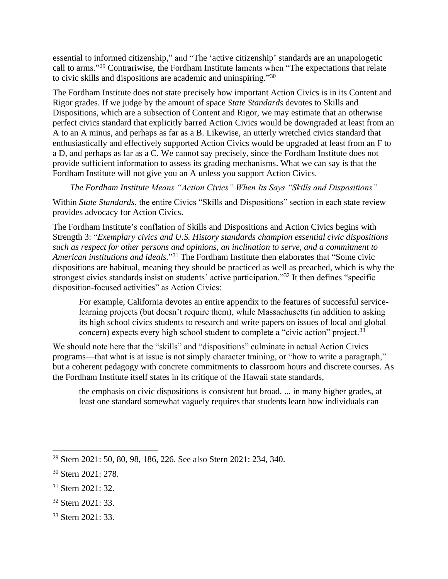essential to informed citizenship," and "The 'active citizenship' standards are an unapologetic call to arms."<sup>29</sup> Contrariwise, the Fordham Institute laments when "The expectations that relate to civic skills and dispositions are academic and uninspiring."30

The Fordham Institute does not state precisely how important Action Civics is in its Content and Rigor grades. If we judge by the amount of space *State Standards* devotes to Skills and Dispositions, which are a subsection of Content and Rigor, we may estimate that an otherwise perfect civics standard that explicitly barred Action Civics would be downgraded at least from an A to an A minus, and perhaps as far as a B. Likewise, an utterly wretched civics standard that enthusiastically and effectively supported Action Civics would be upgraded at least from an F to a D, and perhaps as far as a C. We cannot say precisely, since the Fordham Institute does not provide sufficient information to assess its grading mechanisms. What we can say is that the Fordham Institute will not give you an A unless you support Action Civics.

*The Fordham Institute Means "Action Civics" When Its Says "Skills and Dispositions"*

Within *State Standards*, the entire Civics "Skills and Dispositions" section in each state review provides advocacy for Action Civics.

The Fordham Institute's conflation of Skills and Dispositions and Action Civics begins with Strength 3: "*Exemplary civics and U.S. History standards champion essential civic dispositions such as respect for other persons and opinions, an inclination to serve, and a commitment to American institutions and ideals.*" <sup>31</sup> The Fordham Institute then elaborates that "Some civic dispositions are habitual, meaning they should be practiced as well as preached, which is why the strongest civics standards insist on students' active participation."<sup>32</sup> It then defines "specific disposition-focused activities" as Action Civics:

For example, California devotes an entire appendix to the features of successful servicelearning projects (but doesn't require them), while Massachusetts (in addition to asking its high school civics students to research and write papers on issues of local and global concern) expects every high school student to complete a "civic action" project.<sup>33</sup>

We should note here that the "skills" and "dispositions" culminate in actual Action Civics programs—that what is at issue is not simply character training, or "how to write a paragraph," but a coherent pedagogy with concrete commitments to classroom hours and discrete courses. As the Fordham Institute itself states in its critique of the Hawaii state standards,

the emphasis on civic dispositions is consistent but broad. ... in many higher grades, at least one standard somewhat vaguely requires that students learn how individuals can

<sup>29</sup> Stern 2021: 50, 80, 98, 186, 226. See also Stern 2021: 234, 340.

<sup>30</sup> Stern 2021: 278.

<sup>31</sup> Stern 2021: 32.

<sup>32</sup> Stern 2021: 33.

<sup>33</sup> Stern 2021: 33.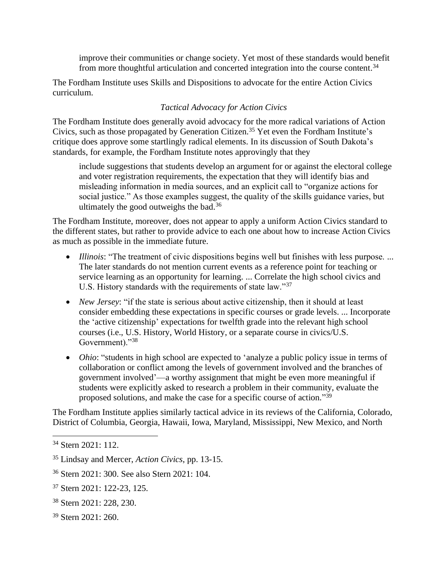improve their communities or change society. Yet most of these standards would benefit from more thoughtful articulation and concerted integration into the course content.<sup>34</sup>

The Fordham Institute uses Skills and Dispositions to advocate for the entire Action Civics curriculum.

# *Tactical Advocacy for Action Civics*

The Fordham Institute does generally avoid advocacy for the more radical variations of Action Civics, such as those propagated by Generation Citizen.<sup>35</sup> Yet even the Fordham Institute's critique does approve some startlingly radical elements. In its discussion of South Dakota's standards, for example, the Fordham Institute notes approvingly that they

include suggestions that students develop an argument for or against the electoral college and voter registration requirements, the expectation that they will identify bias and misleading information in media sources, and an explicit call to "organize actions for social justice." As those examples suggest, the quality of the skills guidance varies, but ultimately the good outweighs the bad.<sup>36</sup>

The Fordham Institute, moreover, does not appear to apply a uniform Action Civics standard to the different states, but rather to provide advice to each one about how to increase Action Civics as much as possible in the immediate future.

- *Illinois*: "The treatment of civic dispositions begins well but finishes with less purpose. ... The later standards do not mention current events as a reference point for teaching or service learning as an opportunity for learning. ... Correlate the high school civics and U.S. History standards with the requirements of state law."<sup>37</sup>
- *New Jersey*: "if the state is serious about active citizenship, then it should at least consider embedding these expectations in specific courses or grade levels. ... Incorporate the 'active citizenship' expectations for twelfth grade into the relevant high school courses (i.e., U.S. History, World History, or a separate course in civics/U.S. Government)."38
- *Ohio*: "students in high school are expected to 'analyze a public policy issue in terms of collaboration or conflict among the levels of government involved and the branches of government involved'—a worthy assignment that might be even more meaningful if students were explicitly asked to research a problem in their community, evaluate the proposed solutions, and make the case for a specific course of action."<sup>39</sup>

The Fordham Institute applies similarly tactical advice in its reviews of the California, Colorado, District of Columbia, Georgia, Hawaii, Iowa, Maryland, Mississippi, New Mexico, and North

- <sup>37</sup> Stern 2021: 122-23, 125.
- <sup>38</sup> Stern 2021: 228, 230.
- <sup>39</sup> Stern 2021: 260.

<sup>34</sup> Stern 2021: 112.

<sup>35</sup> Lindsay and Mercer, *Action Civics*, pp. 13-15.

<sup>36</sup> Stern 2021: 300. See also Stern 2021: 104.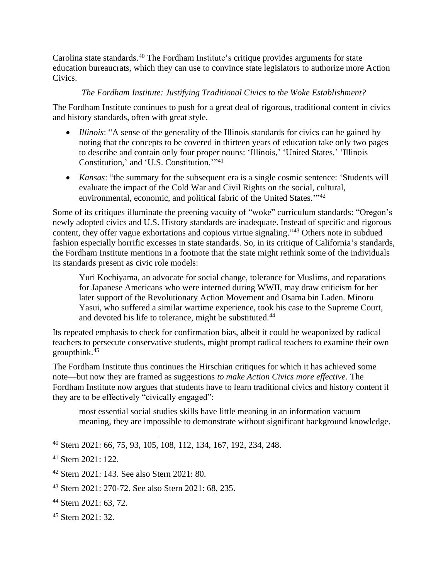Carolina state standards.<sup>40</sup> The Fordham Institute's critique provides arguments for state education bureaucrats, which they can use to convince state legislators to authorize more Action Civics.

#### *The Fordham Institute: Justifying Traditional Civics to the Woke Establishment?*

The Fordham Institute continues to push for a great deal of rigorous, traditional content in civics and history standards, often with great style.

- *Illinois*: "A sense of the generality of the Illinois standards for civics can be gained by noting that the concepts to be covered in thirteen years of education take only two pages to describe and contain only four proper nouns: 'Illinois,' 'United States,' 'Illinois Constitution,' and 'U.S. Constitution.'" 41
- *Kansas*: "the summary for the subsequent era is a single cosmic sentence: 'Students will evaluate the impact of the Cold War and Civil Rights on the social, cultural, environmental, economic, and political fabric of the United States."<sup>42</sup>

Some of its critiques illuminate the preening vacuity of "woke" curriculum standards: "Oregon's newly adopted civics and U.S. History standards are inadequate. Instead of specific and rigorous content, they offer vague exhortations and copious virtue signaling."<sup>43</sup> Others note in subdued fashion especially horrific excesses in state standards. So, in its critique of California's standards, the Fordham Institute mentions in a footnote that the state might rethink some of the individuals its standards present as civic role models:

Yuri Kochiyama, an advocate for social change, tolerance for Muslims, and reparations for Japanese Americans who were interned during WWII, may draw criticism for her later support of the Revolutionary Action Movement and Osama bin Laden. Minoru Yasui, who suffered a similar wartime experience, took his case to the Supreme Court, and devoted his life to tolerance, might be substituted.<sup>44</sup>

Its repeated emphasis to check for confirmation bias, albeit it could be weaponized by radical teachers to persecute conservative students, might prompt radical teachers to examine their own groupthink. 45

The Fordham Institute thus continues the Hirschian critiques for which it has achieved some note—but now they are framed as suggestions *to make Action Civics more effective*. The Fordham Institute now argues that students have to learn traditional civics and history content if they are to be effectively "civically engaged":

most essential social studies skills have little meaning in an information vacuum meaning, they are impossible to demonstrate without significant background knowledge.

<sup>40</sup> Stern 2021: 66, 75, 93, 105, 108, 112, 134, 167, 192, 234, 248.

<sup>41</sup> Stern 2021: 122.

<sup>42</sup> Stern 2021: 143. See also Stern 2021: 80.

<sup>43</sup> Stern 2021: 270-72. See also Stern 2021: 68, 235.

<sup>44</sup> Stern 2021: 63, 72.

<sup>45</sup> Stern 2021: 32.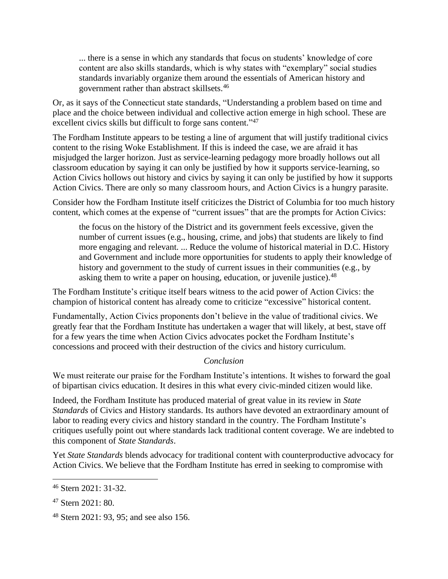... there is a sense in which any standards that focus on students' knowledge of core content are also skills standards, which is why states with "exemplary" social studies standards invariably organize them around the essentials of American history and government rather than abstract skillsets.<sup>46</sup>

Or, as it says of the Connecticut state standards, "Understanding a problem based on time and place and the choice between individual and collective action emerge in high school. These are excellent civics skills but difficult to forge sans content."<sup>47</sup>

The Fordham Institute appears to be testing a line of argument that will justify traditional civics content to the rising Woke Establishment. If this is indeed the case, we are afraid it has misjudged the larger horizon. Just as service-learning pedagogy more broadly hollows out all classroom education by saying it can only be justified by how it supports service-learning, so Action Civics hollows out history and civics by saying it can only be justified by how it supports Action Civics. There are only so many classroom hours, and Action Civics is a hungry parasite.

Consider how the Fordham Institute itself criticizes the District of Columbia for too much history content, which comes at the expense of "current issues" that are the prompts for Action Civics:

the focus on the history of the District and its government feels excessive, given the number of current issues (e.g., housing, crime, and jobs) that students are likely to find more engaging and relevant. ... Reduce the volume of historical material in D.C. History and Government and include more opportunities for students to apply their knowledge of history and government to the study of current issues in their communities (e.g., by asking them to write a paper on housing, education, or juvenile justice).<sup>48</sup>

The Fordham Institute's critique itself bears witness to the acid power of Action Civics: the champion of historical content has already come to criticize "excessive" historical content.

Fundamentally, Action Civics proponents don't believe in the value of traditional civics. We greatly fear that the Fordham Institute has undertaken a wager that will likely, at best, stave off for a few years the time when Action Civics advocates pocket the Fordham Institute's concessions and proceed with their destruction of the civics and history curriculum.

# *Conclusion*

We must reiterate our praise for the Fordham Institute's intentions. It wishes to forward the goal of bipartisan civics education. It desires in this what every civic-minded citizen would like.

Indeed, the Fordham Institute has produced material of great value in its review in *State Standards* of Civics and History standards. Its authors have devoted an extraordinary amount of labor to reading every civics and history standard in the country. The Fordham Institute's critiques usefully point out where standards lack traditional content coverage. We are indebted to this component of *State Standards*.

Yet *State Standards* blends advocacy for traditional content with counterproductive advocacy for Action Civics. We believe that the Fordham Institute has erred in seeking to compromise with

<sup>46</sup> Stern 2021: 31-32.

<sup>47</sup> Stern 2021: 80.

<sup>48</sup> Stern 2021: 93, 95; and see also 156.